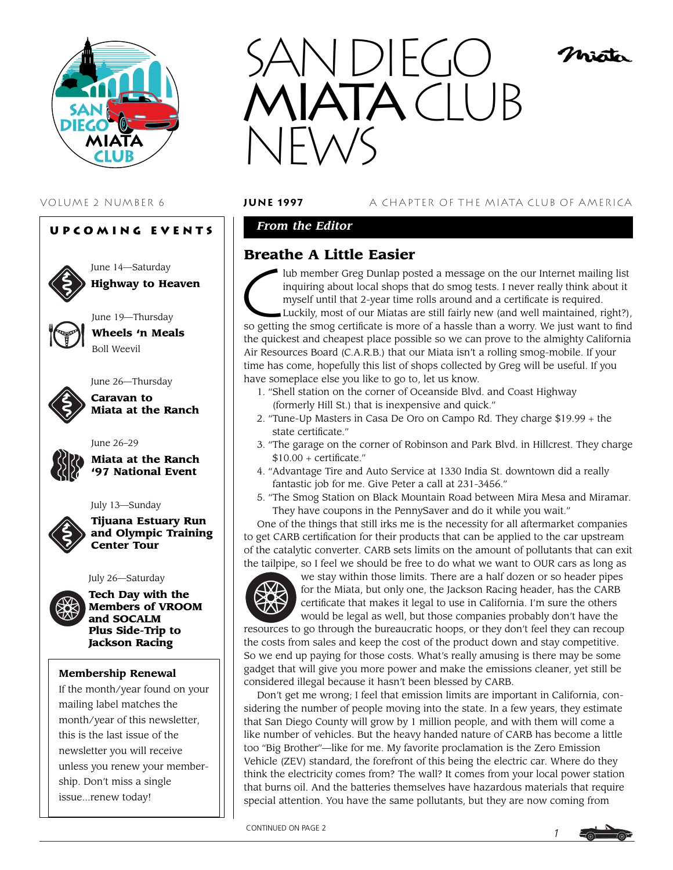

# **Upcoming Events**



**Highway to Heaven**

June 19—Thursday **Wheels 'n Meals**

Boll Weevil



# June 26—Thursday **Caravan to**

**Miata at the Ranch**

**Miata at the Ranch '97 National Event**



July 13—Sunday

June 26–29

**Tijuana Estuary Run and Olympic Training Center Tour**

#### July 26—Saturday



**Tech Day with the Members of VROOM and SOCALM Plus Side-Trip to Jackson Racing**

## **Membership Renewal**

If the month/year found on your mailing label matches the month/year of this newsletter, this is the last issue of the newsletter you will receive unless you renew your membership. Don't miss a single issue...renew today!



### VOLUME 2 NUMBER 6 **june 1997** A CHAPTER OF THE MIATA CLUB OF AMERICA

nian

# *From the Editor*

# **Breathe A Little Easier**

lub member Greg Dunlap posted a message on the our Internet mailing list inquiring about local shops that do smog tests. I never really think about it myself until that 2-year time rolls around and a certificate is required.

Luckily, most of our Miatas are still fairly new (and well maintained, right?), so getting the smog certificate is more of a hassle than a worry. We just want to find the quickest and cheapest place possible so we can prove to the almighty California Air Resources Board (C.A.R.B.) that our Miata isn't a rolling smog-mobile. If your time has come, hopefully this list of shops collected by Greg will be useful. If you have someplace else you like to go to, let us know.

- 1. "Shell station on the corner of Oceanside Blvd. and Coast Highway (formerly Hill St.) that is inexpensive and quick."
- 2. "Tune-Up Masters in Casa De Oro on Campo Rd. They charge \$19.99 + the state certificate."
- 3. "The garage on the corner of Robinson and Park Blvd. in Hillcrest. They charge  $$10.00 +$  certificate."
- 4. "Advantage Tire and Auto Service at 1330 India St. downtown did a really fantastic job for me. Give Peter a call at 231-3456."
- 5. "The Smog Station on Black Mountain Road between Mira Mesa and Miramar. They have coupons in the PennySaver and do it while you wait."

One of the things that still irks me is the necessity for all aftermarket companies to get CARB certification for their products that can be applied to the car upstream of the catalytic converter. CARB sets limits on the amount of pollutants that can exit the tailpipe, so I feel we should be free to do what we want to OUR cars as long as



we stay within those limits. There are a half dozen or so header pipes for the Miata, but only one, the Jackson Racing header, has the CARB certificate that makes it legal to use in California. I'm sure the others would be legal as well, but those companies probably don't have the

resources to go through the bureaucratic hoops, or they don't feel they can recoup the costs from sales and keep the cost of the product down and stay competitive. So we end up paying for those costs. What's really amusing is there may be some gadget that will give you more power and make the emissions cleaner, yet still be considered illegal because it hasn't been blessed by CARB.

Don't get me wrong; I feel that emission limits are important in California, considering the number of people moving into the state. In a few years, they estimate that San Diego County will grow by 1 million people, and with them will come a like number of vehicles. But the heavy handed nature of CARB has become a little too "Big Brother"—like for me. My favorite proclamation is the Zero Emission Vehicle (ZEV) standard, the forefront of this being the electric car. Where do they think the electricity comes from? The wall? It comes from your local power station that burns oil. And the batteries themselves have hazardous materials that require special attention. You have the same pollutants, but they are now coming from

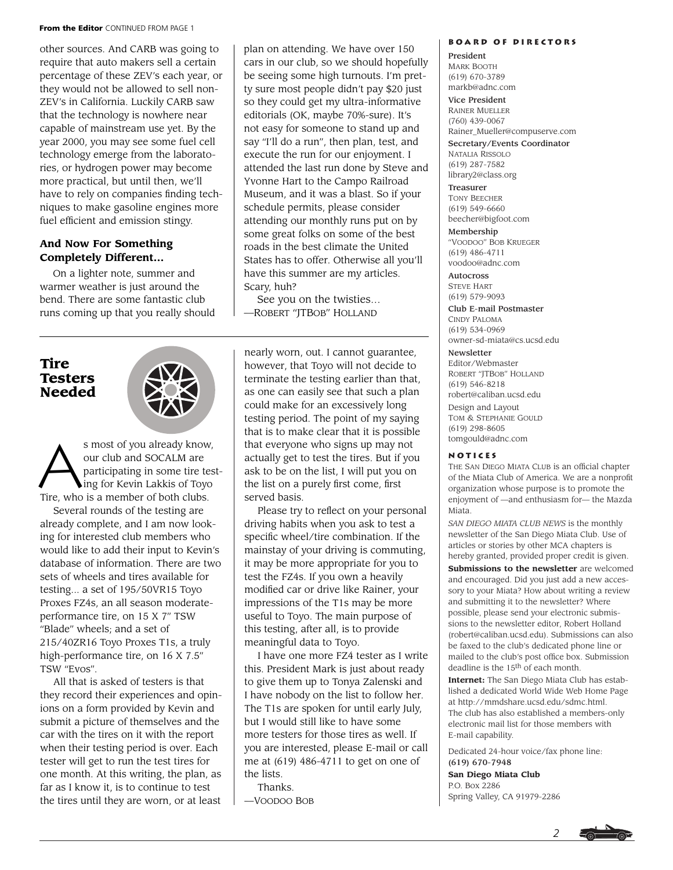#### **From the Editor** CONTINUED FROM PAGE 1

other sources. And CARB was going to require that auto makers sell a certain percentage of these ZEV's each year, or they would not be allowed to sell non-ZEV's in California. Luckily CARB saw that the technology is nowhere near capable of mainstream use yet. By the year 2000, you may see some fuel cell technology emerge from the laboratories, or hydrogen power may become more practical, but until then, we'll have to rely on companies finding techniques to make gasoline engines more fuel efficient and emission stingy.

### **And Now For Something Completely Different...**

On a lighter note, summer and warmer weather is just around the bend. There are some fantastic club runs coming up that you really should

# **Tire Testers Needed**



s most of you already know,<br>our club and SOCALM are<br>participating in some tire tes<br>ing for Kevin Lakkis of Tovo our club and SOCALM are participating in some tire testing for Kevin Lakkis of Toyo Tire, who is a member of both clubs.

Several rounds of the testing are already complete, and I am now looking for interested club members who would like to add their input to Kevin's database of information. There are two sets of wheels and tires available for testing... a set of 195/50VR15 Toyo Proxes FZ4s, an all season moderateperformance tire, on 15 X 7" TSW "Blade" wheels; and a set of 215/40ZR16 Toyo Proxes T1s, a truly high-performance tire, on 16 X 7.5" TSW "Evos".

All that is asked of testers is that they record their experiences and opinions on a form provided by Kevin and submit a picture of themselves and the car with the tires on it with the report when their testing period is over. Each tester will get to run the test tires for one month. At this writing, the plan, as far as I know it, is to continue to test the tires until they are worn, or at least plan on attending. We have over 150 cars in our club, so we should hopefully be seeing some high turnouts. I'm pretty sure most people didn't pay \$20 just so they could get my ultra-informative editorials (OK, maybe 70%-sure). It's not easy for someone to stand up and say "I'll do a run", then plan, test, and execute the run for our enjoyment. I attended the last run done by Steve and Yvonne Hart to the Campo Railroad Museum, and it was a blast. So if your schedule permits, please consider attending our monthly runs put on by some great folks on some of the best roads in the best climate the United States has to offer. Otherwise all you'll have this summer are my articles. Scary, huh?

See you on the twisties… —ROBERT "JTBOB" HOLLAND

nearly worn, out. I cannot guarantee, however, that Toyo will not decide to terminate the testing earlier than that, as one can easily see that such a plan could make for an excessively long testing period. The point of my saying that is to make clear that it is possible that everyone who signs up may not actually get to test the tires. But if you ask to be on the list, I will put you on the list on a purely first come, first served basis.

Please try to reflect on your personal driving habits when you ask to test a specific wheel/tire combination. If the mainstay of your driving is commuting, it may be more appropriate for you to test the FZ4s. If you own a heavily modified car or drive like Rainer, your impressions of the T1s may be more useful to Toyo. The main purpose of this testing, after all, is to provide meaningful data to Toyo.

I have one more FZ4 tester as I write this. President Mark is just about ready to give them up to Tonya Zalenski and I have nobody on the list to follow her. The T1s are spoken for until early July, but I would still like to have some more testers for those tires as well. If you are interested, please E-mail or call me at (619) 486-4711 to get on one of the lists.

Thanks.

—VOODOO BOB

#### **Board of Directors**

President MARK BOOTH (619) 670-3789 markb@adnc.com

Vice President

RAINER MUELLER (760) 439-0067 Rainer\_Mueller@compuserve.com

Secretary/Events Coordinator NATALIA RISSOLO (619) 287-7582 library2@class.org

Treasurer TONY BEECHER (619) 549-6660 beecher@bigfoot.com

Membership "VOODOO" BOB KRUEGER (619) 486-4711 voodoo@adnc.com

Autocross STEVE HART (619) 579-9093

Club E-mail Postmaster CINDY PALOMA (619) 534-0969 owner-sd-miata@cs.ucsd.edu

#### **Newsletter**

Editor/Webmaster ROBERT "JTBOB" HOLLAND (619) 546-8218 robert@caliban.ucsd.edu Design and Layout TOM & STEPHANIE GOULD (619) 298-8605 tomgould@adnc.com

#### **Notices**

THE SAN DIEGO MIATA CLUB is an official chapter of the Miata Club of America. We are a nonprofit organization whose purpose is to promote the enjoyment of —and enthusiasm for— the Mazda Miata.

*SAN DIEGO MIATA CLUB NEWS* is the monthly newsletter of the San Diego Miata Club. Use of articles or stories by other MCA chapters is hereby granted, provided proper credit is given.

**Submissions to the newsletter** are welcomed and encouraged. Did you just add a new accessory to your Miata? How about writing a review and submitting it to the newsletter? Where possible, please send your electronic submissions to the newsletter editor, Robert Holland (robert@caliban.ucsd.edu). Submissions can also be faxed to the club's dedicated phone line or mailed to the club's post office box. Submission deadline is the 15th of each month.

**Internet:** The San Diego Miata Club has established a dedicated World Wide Web Home Page at http://mmdshare.ucsd.edu/sdmc.html. The club has also established a members-only electronic mail list for those members with E-mail capability.

*2*

Dedicated 24-hour voice/fax phone line: (619) 670-7948

**San Diego Miata Club** P.O. Box 2286 Spring Valley, CA 91979-2286

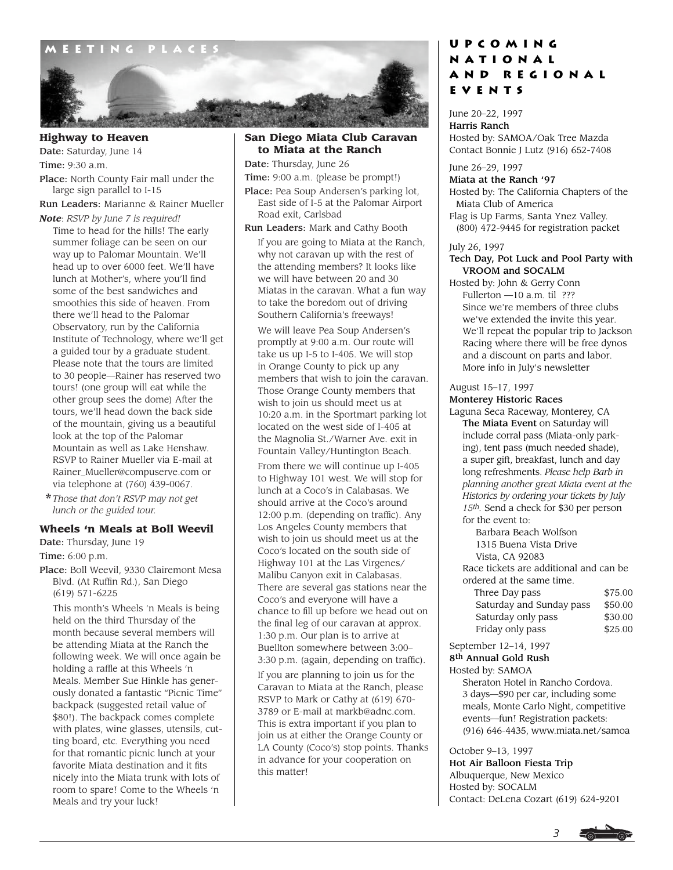

### **Highway to Heaven**

Date: Saturday, June 14 Time: 9:30 a.m.

Place: North County Fair mall under the large sign parallel to I-15

Run Leaders: Marianne & Rainer Mueller *Note*: *RSVP by June 7 is required!*

- Time to head for the hills! The early summer foliage can be seen on our way up to Palomar Mountain. We'll head up to over 6000 feet. We'll have lunch at Mother's, where you'll find some of the best sandwiches and smoothies this side of heaven. From there we'll head to the Palomar Observatory, run by the California Institute of Technology, where we'll get a guided tour by a graduate student. Please note that the tours are limited to 30 people—Rainer has reserved two tours! (one group will eat while the other group sees the dome) After the tours, we'll head down the back side of the mountain, giving us a beautiful look at the top of the Palomar Mountain as well as Lake Henshaw. RSVP to Rainer Mueller via E-mail at Rainer\_Mueller@compuserve.com or via telephone at (760) 439-0067.
- \**Those that don't RSVP may not get lunch or the guided tour.*

#### **Wheels 'n Meals at Boll Weevil**

Date: Thursday, June 19

Time: 6:00 p.m.

Place: Boll Weevil, 9330 Clairemont Mesa Blvd. (At Ruffin Rd.), San Diego (619) 571-6225

This month's Wheels 'n Meals is being held on the third Thursday of the month because several members will be attending Miata at the Ranch the following week. We will once again be holding a raffle at this Wheels 'n Meals. Member Sue Hinkle has generously donated a fantastic "Picnic Time" backpack (suggested retail value of \$80!). The backpack comes complete with plates, wine glasses, utensils, cutting board, etc. Everything you need for that romantic picnic lunch at your favorite Miata destination and it fits nicely into the Miata trunk with lots of room to spare! Come to the Wheels 'n Meals and try your luck!

#### **San Diego Miata Club Caravan to Miata at the Ranch**

Date: Thursday, June 26

Time: 9:00 a.m. (please be prompt!)

Place: Pea Soup Andersen's parking lot, East side of I-5 at the Palomar Airport Road exit, Carlsbad

Run Leaders: Mark and Cathy Booth

If you are going to Miata at the Ranch, why not caravan up with the rest of the attending members? It looks like we will have between 20 and 30 Miatas in the caravan. What a fun way to take the boredom out of driving Southern California's freeways!

We will leave Pea Soup Andersen's promptly at 9:00 a.m. Our route will take us up I-5 to I-405. We will stop in Orange County to pick up any members that wish to join the caravan. Those Orange County members that wish to join us should meet us at 10:20 a.m. in the Sportmart parking lot located on the west side of I-405 at the Magnolia St./Warner Ave. exit in Fountain Valley/Huntington Beach. From there we will continue up I-405 to Highway 101 west. We will stop for lunch at a Coco's in Calabasas. We should arrive at the Coco's around 12:00 p.m. (depending on traffic). Any Los Angeles County members that wish to join us should meet us at the Coco's located on the south side of Highway 101 at the Las Virgenes/ Malibu Canyon exit in Calabasas. There are several gas stations near the Coco's and everyone will have a chance to fill up before we head out on the final leg of our caravan at approx. 1:30 p.m. Our plan is to arrive at Buellton somewhere between 3:00– 3:30 p.m. (again, depending on traffic).

If you are planning to join us for the Caravan to Miata at the Ranch, please RSVP to Mark or Cathy at (619) 670- 3789 or E-mail at markb@adnc.com. This is extra important if you plan to join us at either the Orange County or LA County (Coco's) stop points. Thanks in advance for your cooperation on this matter!

# **Upcoming National and Regional Events**

June 20–22, 1997 Harris Ranch Hosted by: SAMOA/Oak Tree Mazda Contact Bonnie J Lutz (916) 652-7408

June 26–29, 1997

#### Miata at the Ranch '97

Hosted by: The California Chapters of the Miata Club of America

Flag is Up Farms, Santa Ynez Valley. (800) 472-9445 for registration packet

#### July 26, 1997

#### Tech Day, Pot Luck and Pool Party with VROOM and SOCALM

Hosted by: John & Gerry Conn Fullerton —10 a.m. til ??? Since we're members of three clubs we've extended the invite this year. We'll repeat the popular trip to Jackson Racing where there will be free dynos and a discount on parts and labor. More info in July's newsletter

#### August 15–17, 1997

#### Monterey Historic Races

Laguna Seca Raceway, Monterey, CA The Miata Event on Saturday will include corral pass (Miata-only parking), tent pass (much needed shade), a super gift, breakfast, lunch and day long refreshments. *Please help Barb in planning another great Miata event at the Historics by ordering your tickets by July 15th.* Send a check for \$30 per person for the event to:

Barbara Beach Wolfson 1315 Buena Vista Drive Vista, CA 92083 Race tickets are additional and can be ordered at the same time. Three Day pass \$75.00<br>Saturday and Sunday pass \$50.00 Saturday and Sunday pass

Saturday only pass \$30.00 Friday only pass \$25.00

September 12–14, 1997

### 8th Annual Gold Rush

Hosted by: SAMOA Sheraton Hotel in Rancho Cordova. 3 days—\$90 per car, including some meals, Monte Carlo Night, competitive events—fun! Registration packets: (916) 646-4435, www.miata.net/samoa

October 9–13, 1997

Hot Air Balloon Fiesta Trip Albuquerque, New Mexico Hosted by: SOCALM Contact: DeLena Cozart (619) 624-9201

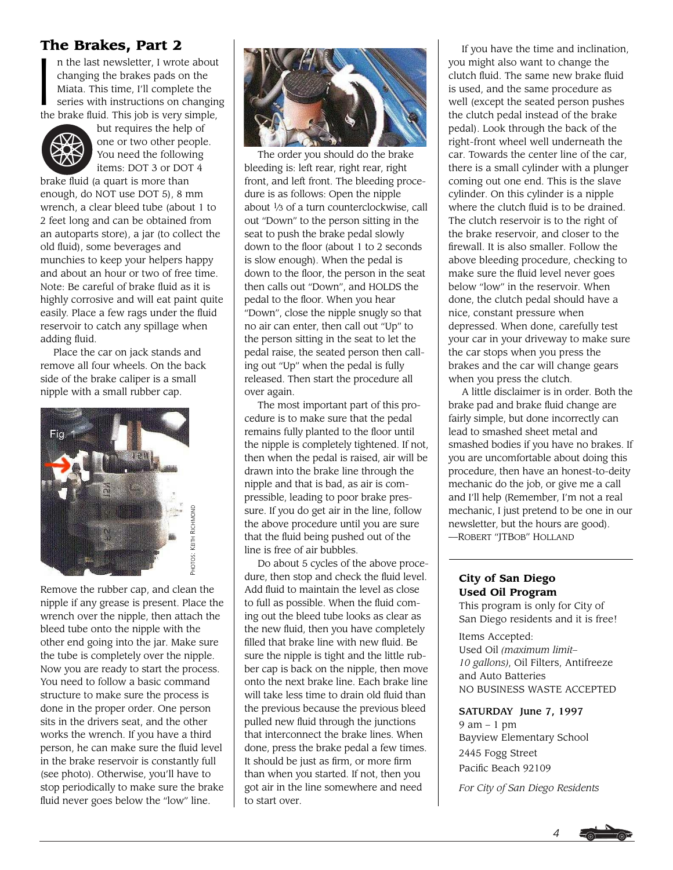**The Brakes, Part 2**<br> **n** the last newsletter, I wrot<br>
changing the brakes pads c<br>
Miata. This time, I'll comple<br>
series with instructions on n the last newsletter, I wrote about changing the brakes pads on the Miata. This time, I'll complete the series with instructions on changing the brake fluid. This job is very simple,



but requires the help of one or two other people. You need the following items: DOT 3 or DOT 4

brake fluid (a quart is more than enough, do NOT use DOT 5), 8 mm wrench, a clear bleed tube (about 1 to 2 feet long and can be obtained from an autoparts store), a jar (to collect the old fluid), some beverages and munchies to keep your helpers happy and about an hour or two of free time. Note: Be careful of brake fluid as it is highly corrosive and will eat paint quite easily. Place a few rags under the fluid reservoir to catch any spillage when adding fluid.

Place the car on jack stands and remove all four wheels. On the back side of the brake caliper is a small nipple with a small rubber cap.



Remove the rubber cap, and clean the nipple if any grease is present. Place the wrench over the nipple, then attach the bleed tube onto the nipple with the other end going into the jar. Make sure the tube is completely over the nipple. Now you are ready to start the process. You need to follow a basic command structure to make sure the process is done in the proper order. One person sits in the drivers seat, and the other works the wrench. If you have a third person, he can make sure the fluid level in the brake reservoir is constantly full (see photo). Otherwise, you'll have to stop periodically to make sure the brake fluid never goes below the "low" line.



The order you should do the brake bleeding is: left rear, right rear, right front, and left front. The bleeding procedure is as follows: Open the nipple about 1⁄3 of a turn counterclockwise, call out "Down" to the person sitting in the seat to push the brake pedal slowly down to the floor (about 1 to 2 seconds is slow enough). When the pedal is down to the floor, the person in the seat then calls out "Down", and HOLDS the pedal to the floor. When you hear "Down", close the nipple snugly so that no air can enter, then call out "Up" to the person sitting in the seat to let the pedal raise, the seated person then calling out "Up" when the pedal is fully released. Then start the procedure all over again.

The most important part of this procedure is to make sure that the pedal remains fully planted to the floor until the nipple is completely tightened. If not, then when the pedal is raised, air will be drawn into the brake line through the nipple and that is bad, as air is compressible, leading to poor brake pressure. If you do get air in the line, follow the above procedure until you are sure that the fluid being pushed out of the line is free of air bubbles.

Do about 5 cycles of the above procedure, then stop and check the fluid level. Add fluid to maintain the level as close to full as possible. When the fluid coming out the bleed tube looks as clear as the new fluid, then you have completely filled that brake line with new fluid. Be sure the nipple is tight and the little rubber cap is back on the nipple, then move onto the next brake line. Each brake line will take less time to drain old fluid than the previous because the previous bleed pulled new fluid through the junctions that interconnect the brake lines. When done, press the brake pedal a few times. It should be just as firm, or more firm than when you started. If not, then you got air in the line somewhere and need to start over.

If you have the time and inclination, you might also want to change the clutch fluid. The same new brake fluid is used, and the same procedure as well (except the seated person pushes the clutch pedal instead of the brake pedal). Look through the back of the right-front wheel well underneath the car. Towards the center line of the car, there is a small cylinder with a plunger coming out one end. This is the slave cylinder. On this cylinder is a nipple where the clutch fluid is to be drained. The clutch reservoir is to the right of the brake reservoir, and closer to the firewall. It is also smaller. Follow the above bleeding procedure, checking to make sure the fluid level never goes below "low" in the reservoir. When done, the clutch pedal should have a nice, constant pressure when depressed. When done, carefully test your car in your driveway to make sure the car stops when you press the brakes and the car will change gears when you press the clutch.

A little disclaimer is in order. Both the brake pad and brake fluid change are fairly simple, but done incorrectly can lead to smashed sheet metal and smashed bodies if you have no brakes. If you are uncomfortable about doing this procedure, then have an honest-to-deity mechanic do the job, or give me a call and I'll help (Remember, I'm not a real mechanic, I just pretend to be one in our newsletter, but the hours are good). —ROBERT "JTBOB" HOLLAND

## **City of San Diego Used Oil Program**

This program is only for City of San Diego residents and it is free!

Items Accepted: Used Oil *(maximum limit– 10 gallons)*, Oil Filters, Antifreeze and Auto Batteries NO BUSINESS WASTE ACCEPTED

#### SATURDAY June 7, 1997

9 am – 1 pm Bayview Elementary School 2445 Fogg Street Pacific Beach 92109

*For City of San Diego Residents*

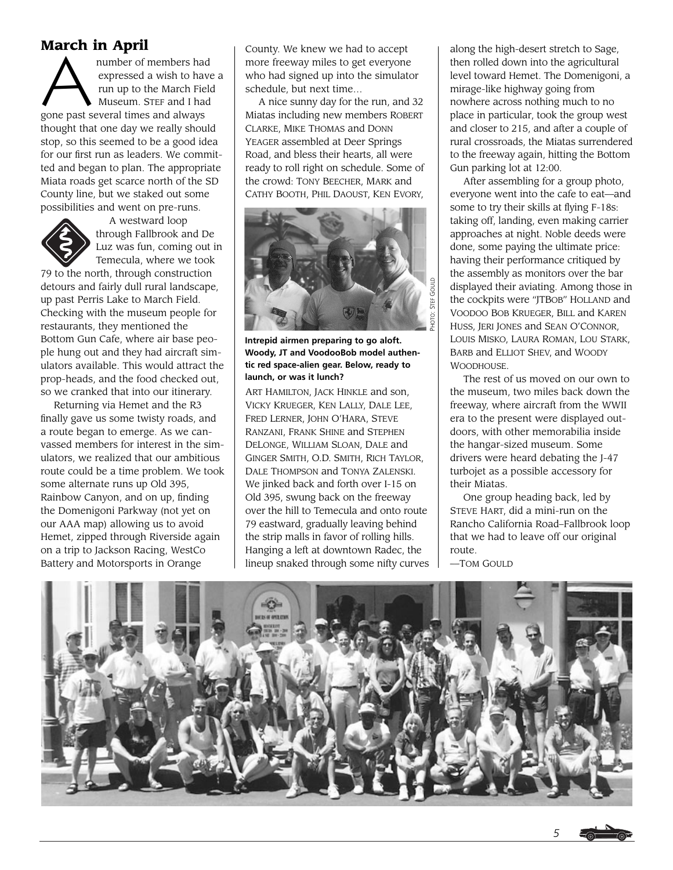**March in April**<br>
number of members had<br>
expressed a wish to hav<br>
run up to the March Fiel<br>
Museum. STEF and I had expressed a wish to have a run up to the March Field Museum. STEF and I had gone past several times and always thought that one day we really should stop, so this seemed to be a good idea for our first run as leaders. We committed and began to plan. The appropriate Miata roads get scarce north of the SD County line, but we staked out some possibilities and went on pre-runs.



A westward loop through Fallbrook and De Luz was fun, coming out in Temecula, where we took

79 to the north, through construction detours and fairly dull rural landscape, up past Perris Lake to March Field. Checking with the museum people for restaurants, they mentioned the Bottom Gun Cafe, where air base people hung out and they had aircraft simulators available. This would attract the prop-heads, and the food checked out, so we cranked that into our itinerary.

Returning via Hemet and the R3 finally gave us some twisty roads, and a route began to emerge. As we canvassed members for interest in the simulators, we realized that our ambitious route could be a time problem. We took some alternate runs up Old 395, Rainbow Canyon, and on up, finding the Domenigoni Parkway (not yet on our AAA map) allowing us to avoid Hemet, zipped through Riverside again on a trip to Jackson Racing, WestCo Battery and Motorsports in Orange

County. We knew we had to accept more freeway miles to get everyone who had signed up into the simulator schedule, but next time…

A nice sunny day for the run, and 32 Miatas including new members ROBERT CLARKE, MIKE THOMAS and DONN YEAGER assembled at Deer Springs Road, and bless their hearts, all were ready to roll right on schedule. Some of the crowd: TONY BEECHER, MARK and CATHY BOOTH, PHIL DAOUST, KEN EVORY,



**Intrepid airmen preparing to go aloft. Woody, JT and VoodooBob model authentic red space-alien gear. Below, ready to launch, or was it lunch?**

ART HAMILTON, JACK HINKLE and son, VICKY KRUEGER, KEN LALLY, DALE LEE, FRED LERNER, JOHN O'HARA, STEVE RANZANI, FRANK SHINE and STEPHEN DELONGE, WILLIAM SLOAN, DALE and GINGER SMITH, O.D. SMITH, RICH TAYLOR, DALE THOMPSON and TONYA ZALENSKI. We jinked back and forth over I-15 on Old 395, swung back on the freeway over the hill to Temecula and onto route 79 eastward, gradually leaving behind the strip malls in favor of rolling hills. Hanging a left at downtown Radec, the lineup snaked through some nifty curves

along the high-desert stretch to Sage, then rolled down into the agricultural level toward Hemet. The Domenigoni, a mirage-like highway going from nowhere across nothing much to no place in particular, took the group west and closer to 215, and after a couple of rural crossroads, the Miatas surrendered to the freeway again, hitting the Bottom Gun parking lot at 12:00.

After assembling for a group photo, everyone went into the cafe to eat—and some to try their skills at flying F-18s: taking off, landing, even making carrier approaches at night. Noble deeds were done, some paying the ultimate price: having their performance critiqued by the assembly as monitors over the bar displayed their aviating. Among those in the cockpits were "JTBOB" HOLLAND and VOODOO BOB KRUEGER, BILL and KAREN HUSS, JERI JONES and SEAN O'CONNOR, LOUIS MISKO, LAURA ROMAN, LOU STARK, BARB and ELLIOT SHEV, and WOODY **WOODHOUSE** 

The rest of us moved on our own to the museum, two miles back down the freeway, where aircraft from the WWII era to the present were displayed outdoors, with other memorabilia inside the hangar-sized museum. Some drivers were heard debating the J-47 turbojet as a possible accessory for their Miatas.

One group heading back, led by STEVE HART, did a mini-run on the Rancho California Road–Fallbrook loop that we had to leave off our original route.

—TOM GOULD

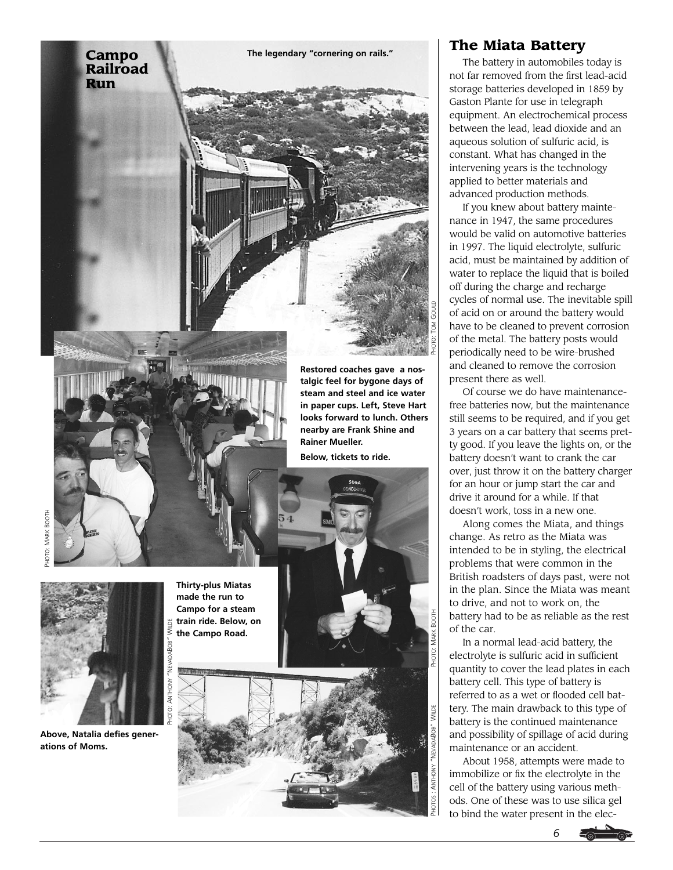

**Thirty-plus Miatas made the run to Campo for a steam train ride. Below, on the Campo Road.** 

**WILDE** 

**steam and steel and ice water in paper cups. Left, Steve Hart looks forward to lunch. Others nearby are Frank Shine and Rainer Mueller.**

**Below, tickets to ride.** 





# **The Miata Battery**

The battery in automobiles today is not far removed from the first lead-acid storage batteries developed in 1859 by Gaston Plante for use in telegraph equipment. An electrochemical process between the lead, lead dioxide and an aqueous solution of sulfuric acid, is constant. What has changed in the intervening years is the technology applied to better materials and advanced production methods.

If you knew about battery maintenance in 1947, the same procedures would be valid on automotive batteries in 1997. The liquid electrolyte, sulfuric acid, must be maintained by addition of water to replace the liquid that is boiled off during the charge and recharge cycles of normal use. The inevitable spill of acid on or around the battery would have to be cleaned to prevent corrosion of the metal. The battery posts would periodically need to be wire-brushed and cleaned to remove the corrosion present there as well.

Of course we do have maintenancefree batteries now, but the maintenance still seems to be required, and if you get 3 years on a car battery that seems pretty good. If you leave the lights on, or the battery doesn't want to crank the car over, just throw it on the battery charger for an hour or jump start the car and drive it around for a while. If that doesn't work, toss in a new one.

Along comes the Miata, and things change. As retro as the Miata was intended to be in styling, the electrical problems that were common in the British roadsters of days past, were not in the plan. Since the Miata was meant to drive, and not to work on, the battery had to be as reliable as the rest of the car.

In a normal lead-acid battery, the electrolyte is sulfuric acid in sufficient quantity to cover the lead plates in each battery cell. This type of battery is referred to as a wet or flooded cell battery. The main drawback to this type of battery is the continued maintenance and possibility of spillage of acid during maintenance or an accident.

About 1958, attempts were made to immobilize or fix the electrolyte in the cell of the battery using various methods. One of these was to use silica gel to bind the water present in the elec-





**Above, Natalia defies generations of Moms.**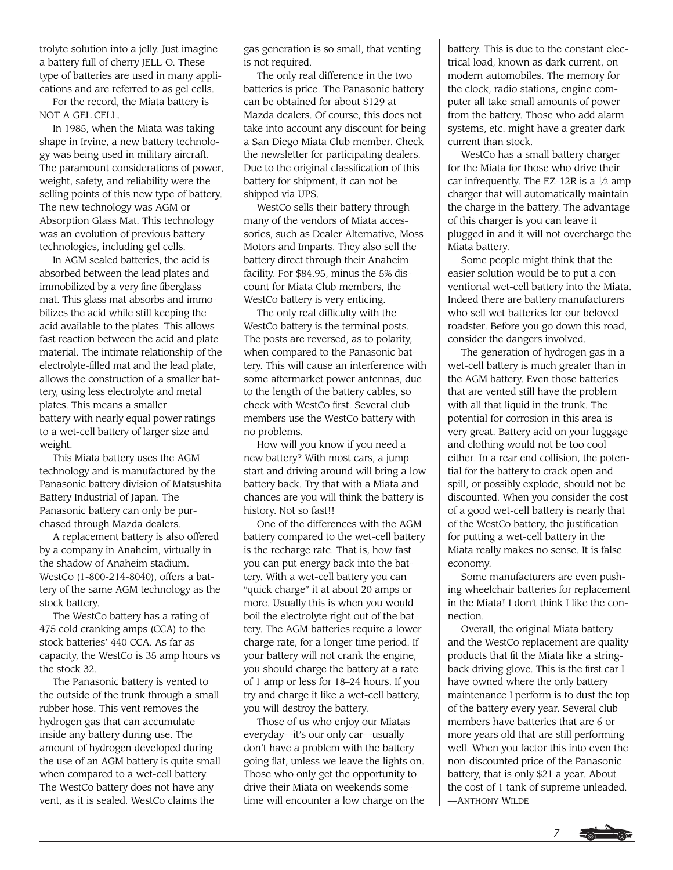trolyte solution into a jelly. Just imagine a battery full of cherry JELL-O. These type of batteries are used in many applications and are referred to as gel cells.

For the record, the Miata battery is NOT A GEL CELL.

In 1985, when the Miata was taking shape in Irvine, a new battery technology was being used in military aircraft. The paramount considerations of power, weight, safety, and reliability were the selling points of this new type of battery. The new technology was AGM or Absorption Glass Mat. This technology was an evolution of previous battery technologies, including gel cells.

In AGM sealed batteries, the acid is absorbed between the lead plates and immobilized by a very fine fiberglass mat. This glass mat absorbs and immobilizes the acid while still keeping the acid available to the plates. This allows fast reaction between the acid and plate material. The intimate relationship of the electrolyte-filled mat and the lead plate, allows the construction of a smaller battery, using less electrolyte and metal plates. This means a smaller battery with nearly equal power ratings to a wet-cell battery of larger size and weight.

This Miata battery uses the AGM technology and is manufactured by the Panasonic battery division of Matsushita Battery Industrial of Japan. The Panasonic battery can only be purchased through Mazda dealers.

A replacement battery is also offered by a company in Anaheim, virtually in the shadow of Anaheim stadium. WestCo (1-800-214-8040), offers a battery of the same AGM technology as the stock battery.

The WestCo battery has a rating of 475 cold cranking amps (CCA) to the stock batteries' 440 CCA. As far as capacity, the WestCo is 35 amp hours vs the stock 32.

The Panasonic battery is vented to the outside of the trunk through a small rubber hose. This vent removes the hydrogen gas that can accumulate inside any battery during use. The amount of hydrogen developed during the use of an AGM battery is quite small when compared to a wet-cell battery. The WestCo battery does not have any vent, as it is sealed. WestCo claims the

gas generation is so small, that venting is not required.

The only real difference in the two batteries is price. The Panasonic battery can be obtained for about \$129 at Mazda dealers. Of course, this does not take into account any discount for being a San Diego Miata Club member. Check the newsletter for participating dealers. Due to the original classification of this battery for shipment, it can not be shipped via UPS.

WestCo sells their battery through many of the vendors of Miata accessories, such as Dealer Alternative, Moss Motors and Imparts. They also sell the battery direct through their Anaheim facility. For \$84.95, minus the 5% discount for Miata Club members, the WestCo battery is very enticing.

The only real difficulty with the WestCo battery is the terminal posts. The posts are reversed, as to polarity, when compared to the Panasonic battery. This will cause an interference with some aftermarket power antennas, due to the length of the battery cables, so check with WestCo first. Several club members use the WestCo battery with no problems.

How will you know if you need a new battery? With most cars, a jump start and driving around will bring a low battery back. Try that with a Miata and chances are you will think the battery is history. Not so fast!!

One of the differences with the AGM battery compared to the wet-cell battery is the recharge rate. That is, how fast you can put energy back into the battery. With a wet-cell battery you can "quick charge" it at about 20 amps or more. Usually this is when you would boil the electrolyte right out of the battery. The AGM batteries require a lower charge rate, for a longer time period. If your battery will not crank the engine, you should charge the battery at a rate of 1 amp or less for 18–24 hours. If you try and charge it like a wet-cell battery, you will destroy the battery.

Those of us who enjoy our Miatas everyday—it's our only car—usually don't have a problem with the battery going flat, unless we leave the lights on. Those who only get the opportunity to drive their Miata on weekends sometime will encounter a low charge on the battery. This is due to the constant electrical load, known as dark current, on modern automobiles. The memory for the clock, radio stations, engine computer all take small amounts of power from the battery. Those who add alarm systems, etc. might have a greater dark current than stock.

WestCo has a small battery charger for the Miata for those who drive their car infrequently. The EZ-12R is a  $1/2$  amp charger that will automatically maintain the charge in the battery. The advantage of this charger is you can leave it plugged in and it will not overcharge the Miata battery.

Some people might think that the easier solution would be to put a conventional wet-cell battery into the Miata. Indeed there are battery manufacturers who sell wet batteries for our beloved roadster. Before you go down this road, consider the dangers involved.

The generation of hydrogen gas in a wet-cell battery is much greater than in the AGM battery. Even those batteries that are vented still have the problem with all that liquid in the trunk. The potential for corrosion in this area is very great. Battery acid on your luggage and clothing would not be too cool either. In a rear end collision, the potential for the battery to crack open and spill, or possibly explode, should not be discounted. When you consider the cost of a good wet-cell battery is nearly that of the WestCo battery, the justification for putting a wet-cell battery in the Miata really makes no sense. It is false economy.

Some manufacturers are even pushing wheelchair batteries for replacement in the Miata! I don't think I like the connection.

Overall, the original Miata battery and the WestCo replacement are quality products that fit the Miata like a stringback driving glove. This is the first car I have owned where the only battery maintenance I perform is to dust the top of the battery every year. Several club members have batteries that are 6 or more years old that are still performing well. When you factor this into even the non-discounted price of the Panasonic battery, that is only \$21 a year. About the cost of 1 tank of supreme unleaded. —ANTHONY WILDE

*7*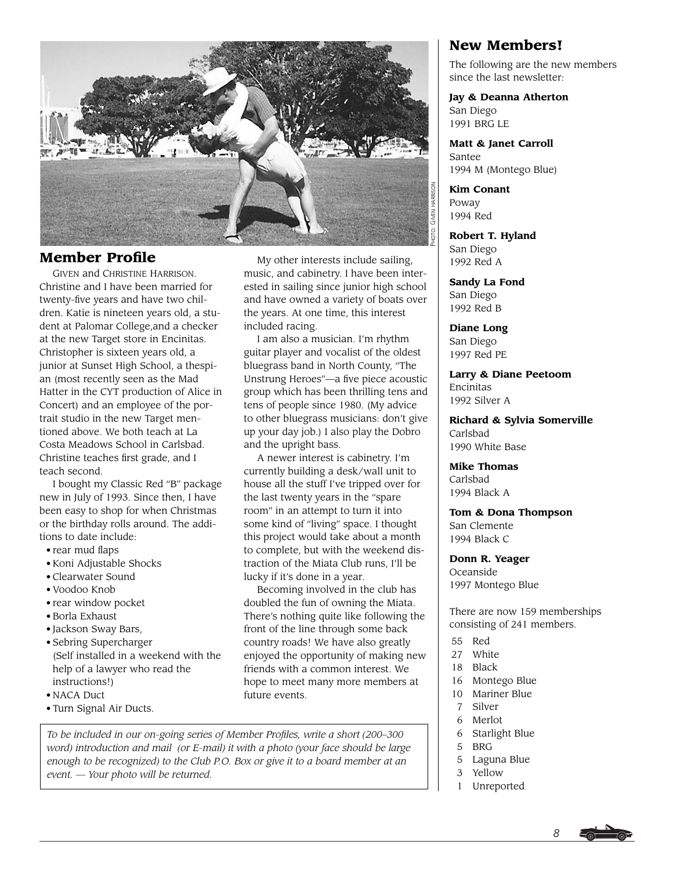

# **Member Profile**

GIVEN and CHRISTINE HARRISON. Christine and I have been married for twenty-five years and have two children. Katie is nineteen years old, a student at Palomar College,and a checker at the new Target store in Encinitas. Christopher is sixteen years old, a junior at Sunset High School, a thespian (most recently seen as the Mad Hatter in the CYT production of Alice in Concert) and an employee of the portrait studio in the new Target mentioned above. We both teach at La Costa Meadows School in Carlsbad. Christine teaches first grade, and I teach second.

I bought my Classic Red "B" package new in July of 1993. Since then, I have been easy to shop for when Christmas or the birthday rolls around. The additions to date include:

- rear mud flaps
- Koni Adjustable Shocks
- Clearwater Sound
- Voodoo Knob
- rear window pocket
- Borla Exhaust
- Jackson Sway Bars,
- Sebring Supercharger (Self installed in a weekend with the help of a lawyer who read the instructions!)
- NACA Duct
- Turn Signal Air Ducts.

My other interests include sailing, music, and cabinetry. I have been interested in sailing since junior high school and have owned a variety of boats over the years. At one time, this interest included racing.

I am also a musician. I'm rhythm guitar player and vocalist of the oldest bluegrass band in North County, "The Unstrung Heroes"—a five piece acoustic group which has been thrilling tens and tens of people since 1980. (My advice to other bluegrass musicians: don't give up your day job.) I also play the Dobro and the upright bass.

A newer interest is cabinetry. I'm currently building a desk/wall unit to house all the stuff I've tripped over for the last twenty years in the "spare room" in an attempt to turn it into some kind of "living" space. I thought this project would take about a month to complete, but with the weekend distraction of the Miata Club runs, I'll be lucky if it's done in a year.

Becoming involved in the club has doubled the fun of owning the Miata. There's nothing quite like following the front of the line through some back country roads! We have also greatly enjoyed the opportunity of making new friends with a common interest. We hope to meet many more members at future events.

# **New Members!**

The following are the new members since the last newsletter:

**Jay & Deanna Atherton** San Diego 1991 BRG LE

**Matt & Janet Carroll** Santee 1994 M (Montego Blue)

**Kim Conant** Poway 1994 Red

**Robert T. Hyland** San Diego 1992 Red A

**Sandy La Fond** San Diego 1992 Red B

**Diane Long** San Diego 1997 Red PE

**Larry & Diane Peetoom** Encinitas 1992 Silver A

**Richard & Sylvia Somerville** Carlsbad 1990 White Base

**Mike Thomas** Carlsbad 1994 Black A

**Tom & Dona Thompson** San Clemente 1994 Black C

**Donn R. Yeager**

Oceanside 1997 Montego Blue

There are now 159 memberships consisting of 241 members.

- 55 Red
- 27 White
- 18 Black
- 16 Montego Blue
- 10 Mariner Blue
- 7 Silver
- 6 Merlot
- 6 Starlight Blue
- 5 BRG
- 5 Laguna Blue
- 3 Yellow
- 1 Unreported

*To be included in our on-going series of Member Profiles, write a short (200–300 word) introduction and mail (or E-mail) it with a photo (your face should be large enough to be recognized) to the Club P.O. Box or give it to a board member at an event. — Your photo will be returned.*